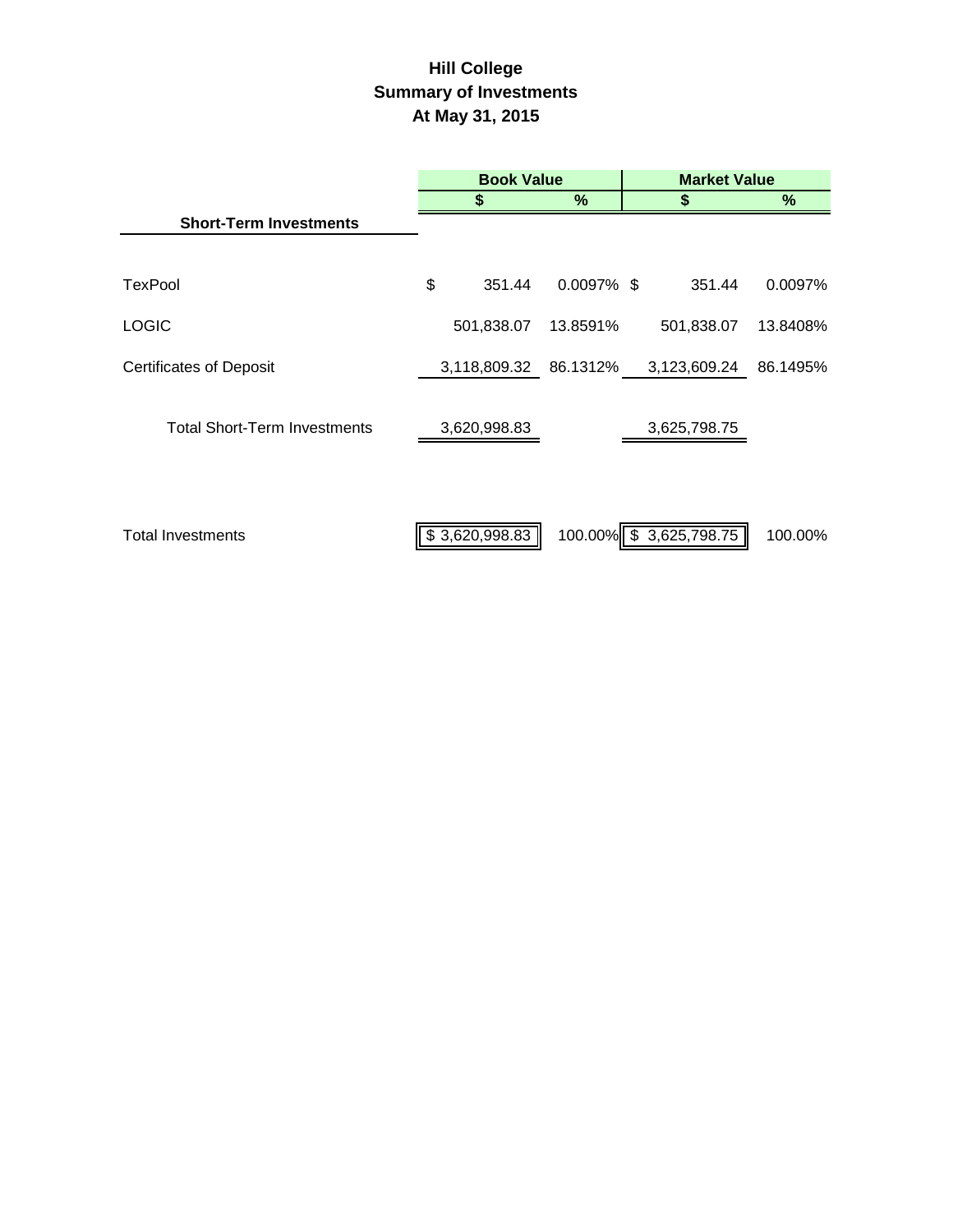# **Hill College Summary of Investments At May 31, 2015**

|                                     | <b>Book Value</b>     |               |  | <b>Market Value</b>     |          |  |
|-------------------------------------|-----------------------|---------------|--|-------------------------|----------|--|
|                                     | 5                     | %             |  | \$                      | %        |  |
| <b>Short-Term Investments</b>       |                       |               |  |                         |          |  |
| TexPool                             | \$<br>351.44          | $0.0097\%$ \$ |  | 351.44                  | 0.0097%  |  |
| <b>LOGIC</b>                        | 501,838.07            | 13.8591%      |  | 501,838.07              | 13.8408% |  |
| <b>Certificates of Deposit</b>      | 3,118,809.32 86.1312% |               |  | 3,123,609.24            | 86.1495% |  |
| <b>Total Short-Term Investments</b> | 3,620,998.83          |               |  | 3,625,798.75            |          |  |
| <b>Total Investments</b>            | \$3,620,998.83        |               |  | 100.00% \$ 3,625,798.75 | 100.00%  |  |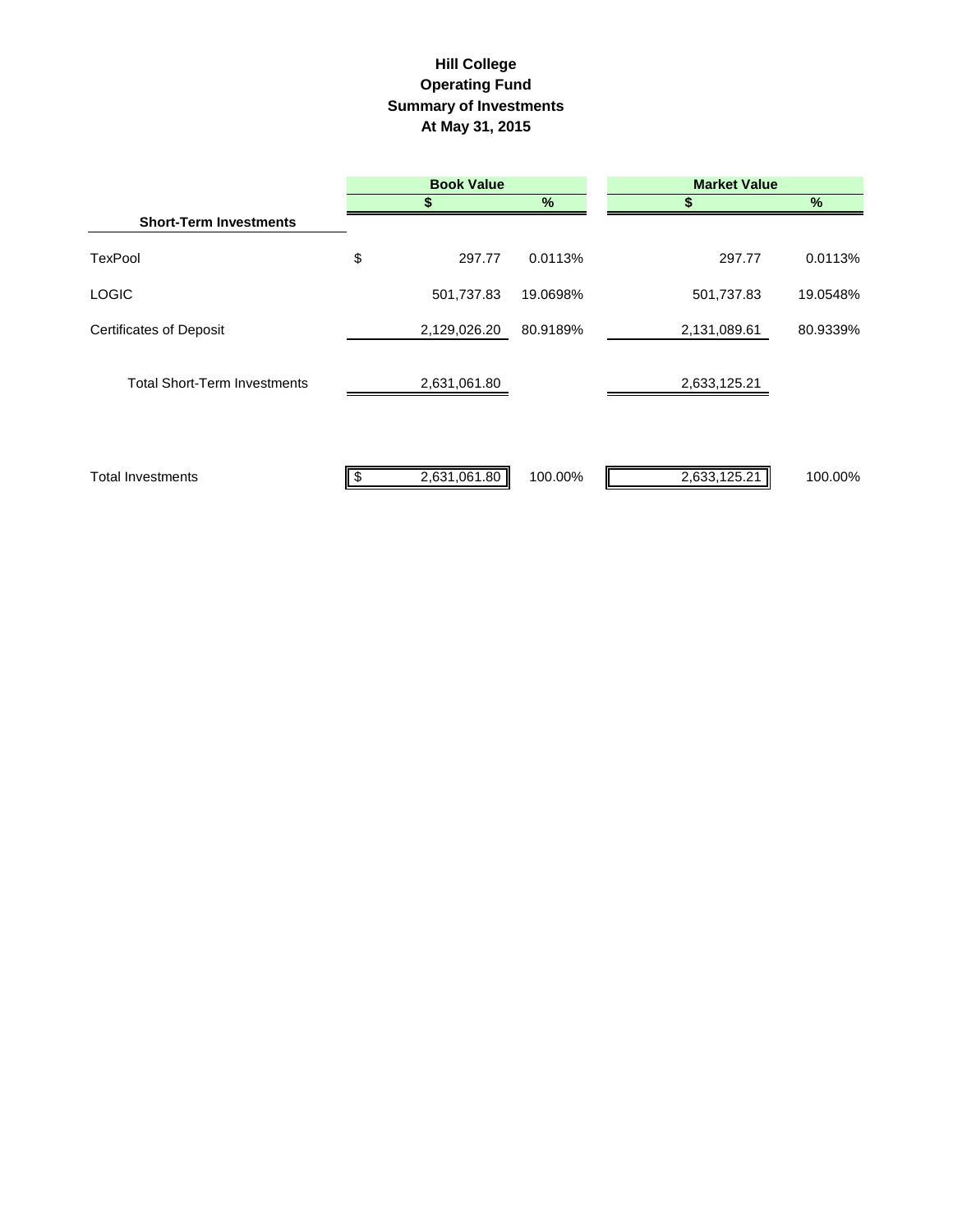## **Hill College Operating Fund Summary of Investments At May 31, 2015**

|                                     | <b>Book Value</b> |          | <b>Market Value</b> |          |  |
|-------------------------------------|-------------------|----------|---------------------|----------|--|
|                                     |                   | %        | S                   | $\%$     |  |
| <b>Short-Term Investments</b>       |                   |          |                     |          |  |
| <b>TexPool</b>                      | \$<br>297.77      | 0.0113%  | 297.77              | 0.0113%  |  |
| <b>LOGIC</b>                        | 501,737.83        | 19.0698% | 501,737.83          | 19.0548% |  |
| <b>Certificates of Deposit</b>      | 2,129,026.20      | 80.9189% | 2,131,089.61        | 80.9339% |  |
| <b>Total Short-Term Investments</b> | 2,631,061.80      |          | 2,633,125.21        |          |  |
| <b>Total Investments</b>            | 2,631,061.80      | 100.00%  | 2,633,125.21        | 100.00%  |  |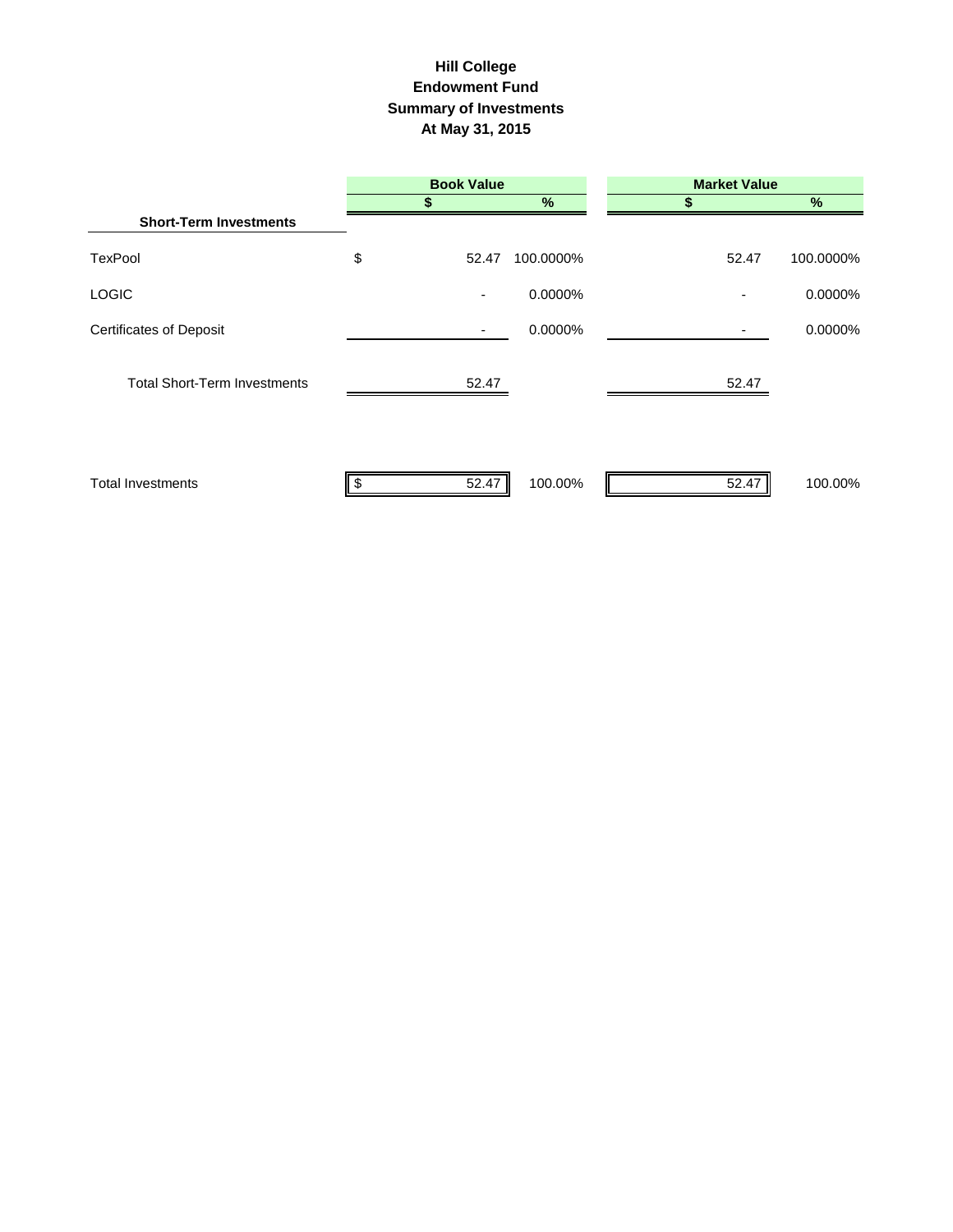#### **Hill College Endowment Fund Summary of Investments At May 31, 2015**

|                                     | <b>Book Value</b>        |           | <b>Market Value</b> |               |
|-------------------------------------|--------------------------|-----------|---------------------|---------------|
|                                     |                          | %         |                     | $\frac{9}{6}$ |
| <b>Short-Term Investments</b>       |                          |           |                     |               |
| <b>TexPool</b>                      | \$<br>52.47              | 100.0000% | 52.47               | 100.0000%     |
| <b>LOGIC</b>                        | $\overline{\phantom{a}}$ | 0.0000%   | ٠                   | 0.0000%       |
| <b>Certificates of Deposit</b>      | ٠                        | 0.0000%   |                     | 0.0000%       |
| <b>Total Short-Term Investments</b> | 52.47                    |           | 52.47               |               |
| <b>Total Investments</b>            | 52.47                    | 100.00%   | 52.47               | 100.00%       |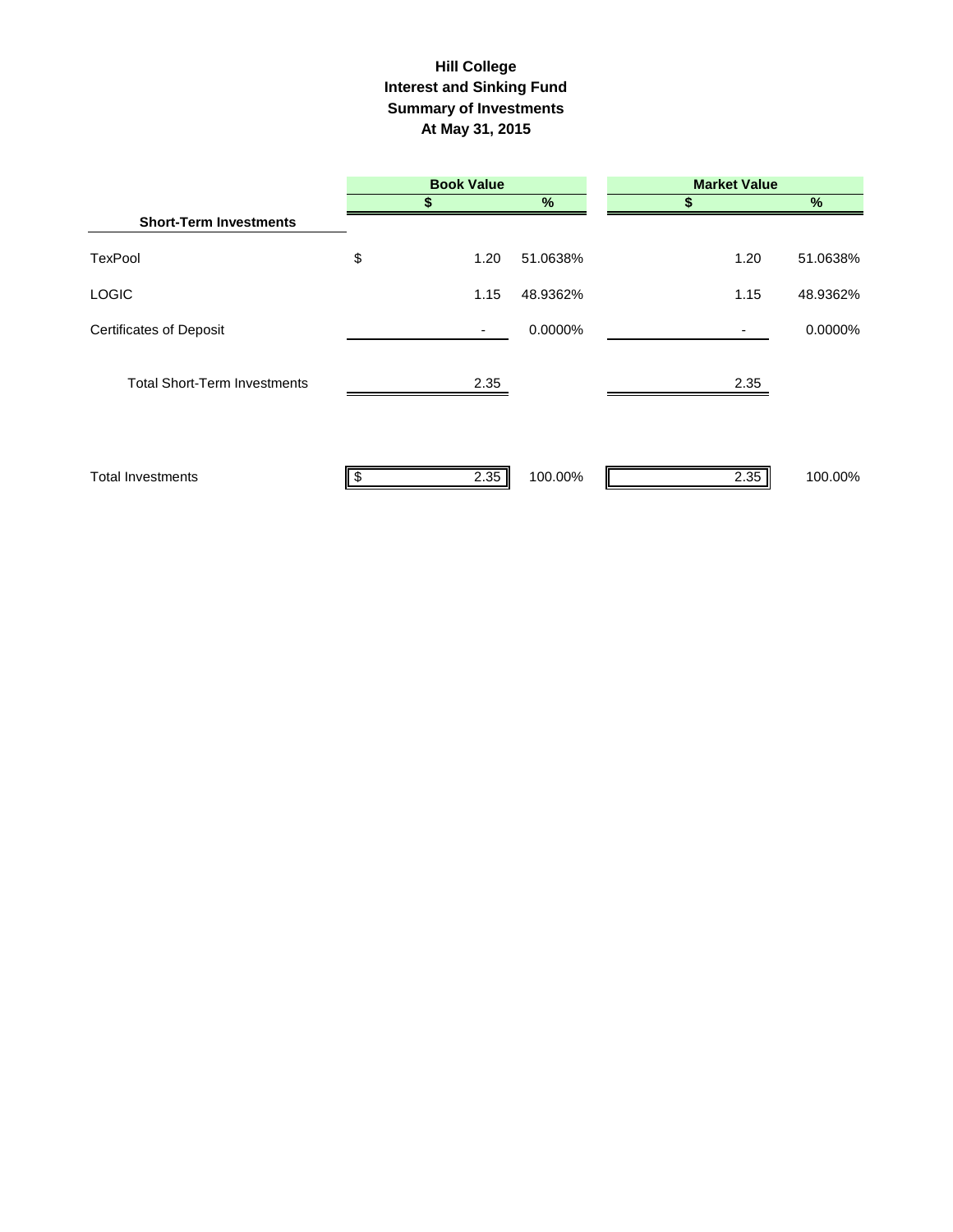#### **Interest and Sinking Fund Summary of Investments At May 31, 2015 Hill College**

|                                     | <b>Book Value</b>        |          | <b>Market Value</b> |          |  |
|-------------------------------------|--------------------------|----------|---------------------|----------|--|
|                                     |                          | $\%$     |                     | $\%$     |  |
| <b>Short-Term Investments</b>       |                          |          |                     |          |  |
| <b>TexPool</b>                      | \$<br>1.20               | 51.0638% | 1.20                | 51.0638% |  |
| <b>LOGIC</b>                        | 1.15                     | 48.9362% | 1.15                | 48.9362% |  |
| <b>Certificates of Deposit</b>      | $\overline{\phantom{a}}$ | 0.0000%  |                     | 0.0000%  |  |
| <b>Total Short-Term Investments</b> | 2.35                     |          | 2.35                |          |  |
| <b>Total Investments</b>            | 2.35                     | 100.00%  | 2.35                | 100.00%  |  |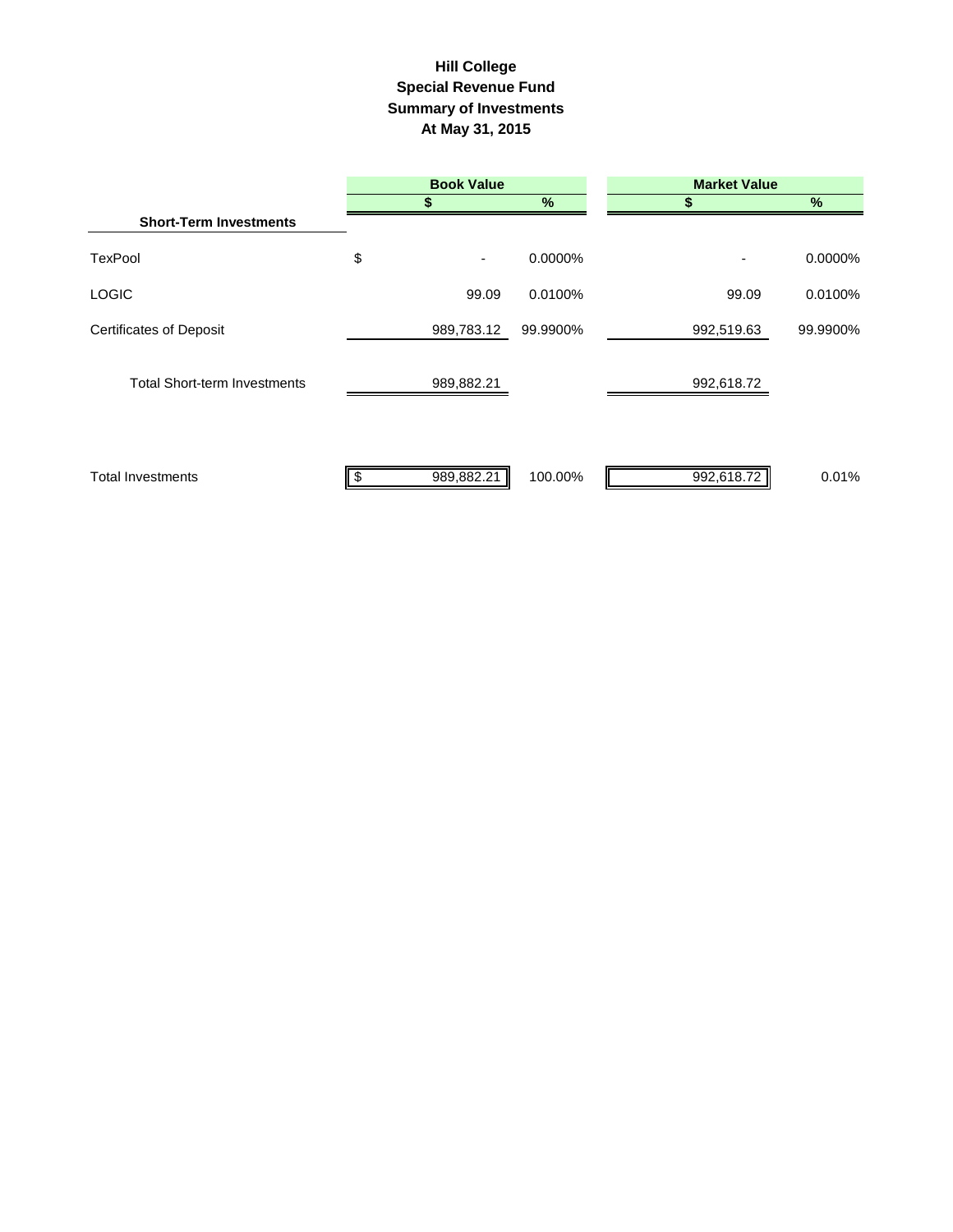## **Summary of Investments At May 31, 2015 Special Revenue Fund Hill College**

|                                     | <b>Book Value</b> |          | <b>Market Value</b> |          |  |
|-------------------------------------|-------------------|----------|---------------------|----------|--|
|                                     |                   | %        | 55                  | $\%$     |  |
| <b>Short-Term Investments</b>       |                   |          |                     |          |  |
| <b>TexPool</b>                      | \$<br>٠           | 0.0000%  |                     | 0.0000%  |  |
| <b>LOGIC</b>                        | 99.09             | 0.0100%  | 99.09               | 0.0100%  |  |
| <b>Certificates of Deposit</b>      | 989,783.12        | 99.9900% | 992,519.63          | 99.9900% |  |
| <b>Total Short-term Investments</b> | 989,882.21        |          | 992,618.72          |          |  |
| <b>Total Investments</b>            | 989,882.21        | 100.00%  | 992,618.72          | 0.01%    |  |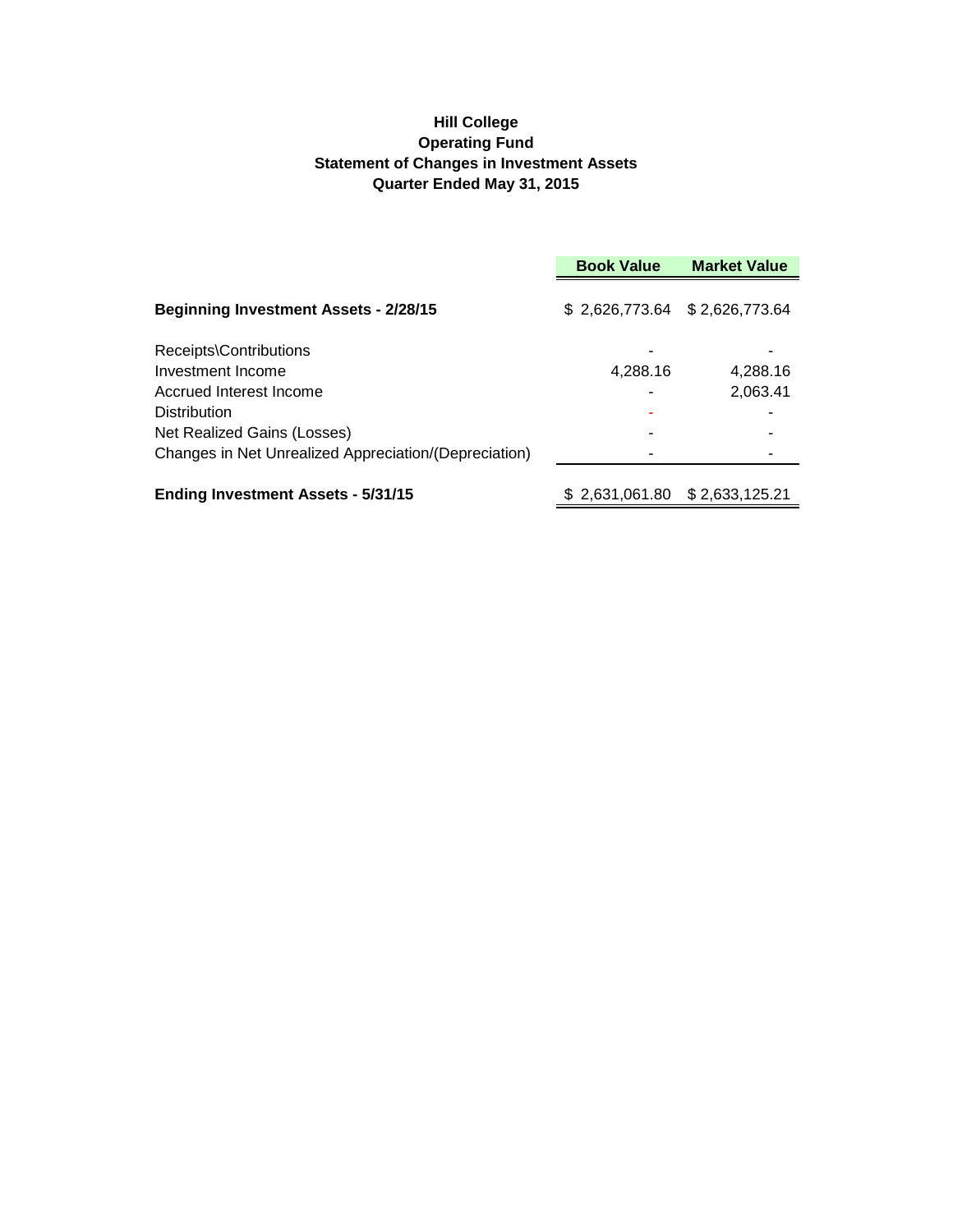## **Hill College Operating Fund Statement of Changes in Investment Assets Quarter Ended May 31, 2015**

|                                                       | <b>Book Value</b>             | <b>Market Value</b> |  |
|-------------------------------------------------------|-------------------------------|---------------------|--|
| <b>Beginning Investment Assets - 2/28/15</b>          | \$2,626,773.64 \$2,626,773.64 |                     |  |
| Receipts\Contributions                                |                               |                     |  |
| Investment Income                                     | 4,288.16                      | 4,288.16            |  |
| Accrued Interest Income                               |                               | 2,063.41            |  |
| <b>Distribution</b>                                   |                               |                     |  |
| Net Realized Gains (Losses)                           |                               |                     |  |
| Changes in Net Unrealized Appreciation/(Depreciation) |                               |                     |  |
| <b>Ending Investment Assets - 5/31/15</b>             |                               |                     |  |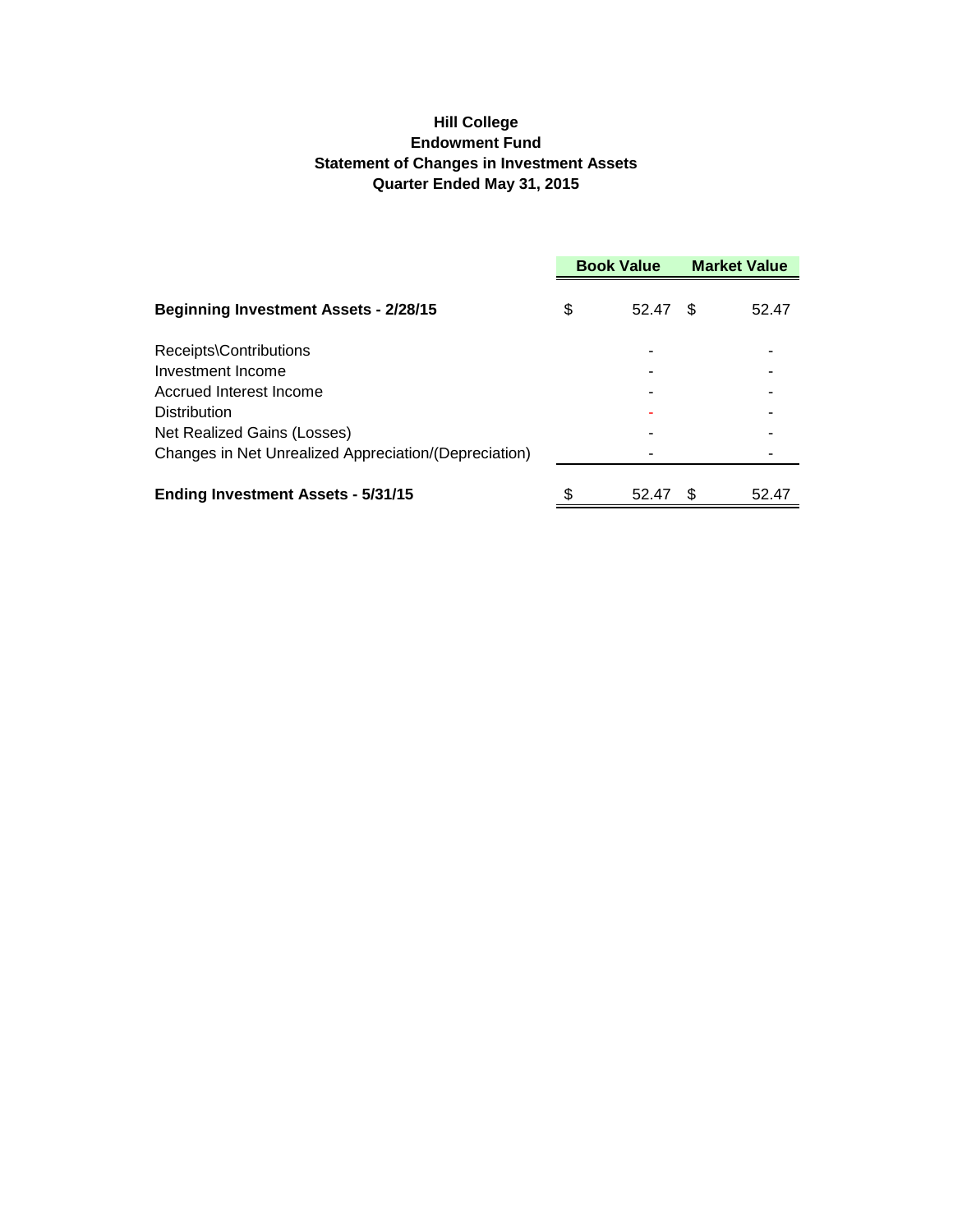## **Hill College Endowment Fund Statement of Changes in Investment Assets Quarter Ended May 31, 2015**

|                                                       | <b>Book Value</b> |       | <b>Market Value</b> |       |
|-------------------------------------------------------|-------------------|-------|---------------------|-------|
| <b>Beginning Investment Assets - 2/28/15</b>          | S                 | 52.47 | \$                  | 52.47 |
| Receipts\Contributions                                |                   |       |                     |       |
| Investment Income                                     |                   |       |                     |       |
| Accrued Interest Income                               |                   |       |                     |       |
| <b>Distribution</b>                                   |                   |       |                     |       |
| Net Realized Gains (Losses)                           |                   |       |                     |       |
| Changes in Net Unrealized Appreciation/(Depreciation) |                   |       |                     |       |
| <b>Ending Investment Assets - 5/31/15</b>             | \$                | 52.47 | \$.                 | 52.47 |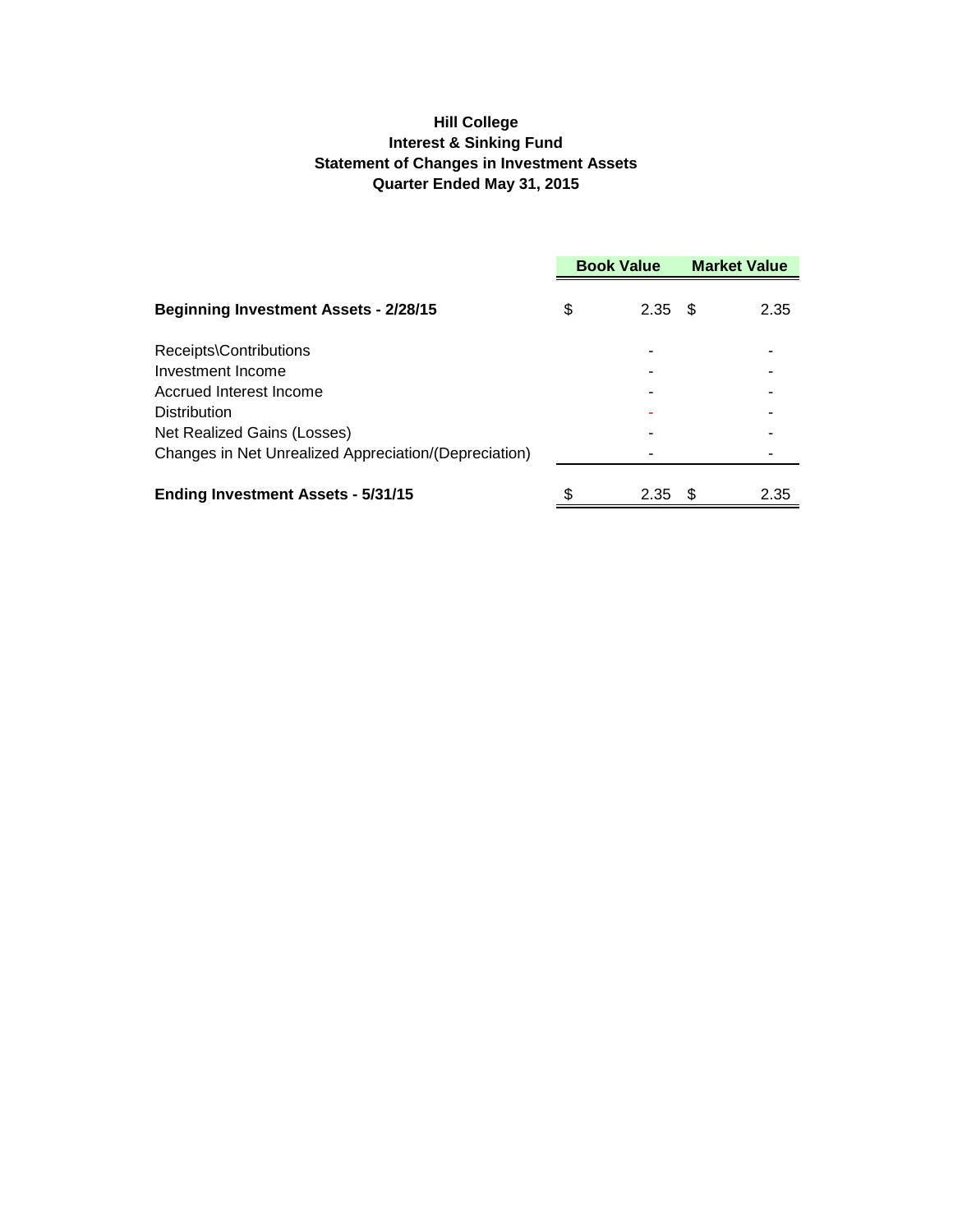## **Hill College Interest & Sinking Fund Statement of Changes in Investment Assets Quarter Ended May 31, 2015**

|                                                       | <b>Book Value</b> |      | <b>Market Value</b> |      |
|-------------------------------------------------------|-------------------|------|---------------------|------|
| <b>Beginning Investment Assets - 2/28/15</b>          | \$                | 2.35 | - \$                | 2.35 |
| Receipts\Contributions                                |                   |      |                     |      |
| Investment Income                                     |                   |      |                     |      |
| Accrued Interest Income                               |                   |      |                     |      |
| Distribution                                          |                   |      |                     |      |
| Net Realized Gains (Losses)                           |                   |      |                     |      |
| Changes in Net Unrealized Appreciation/(Depreciation) |                   |      |                     |      |
| <b>Ending Investment Assets - 5/31/15</b>             | \$                | 2.35 | -S                  | 2.35 |